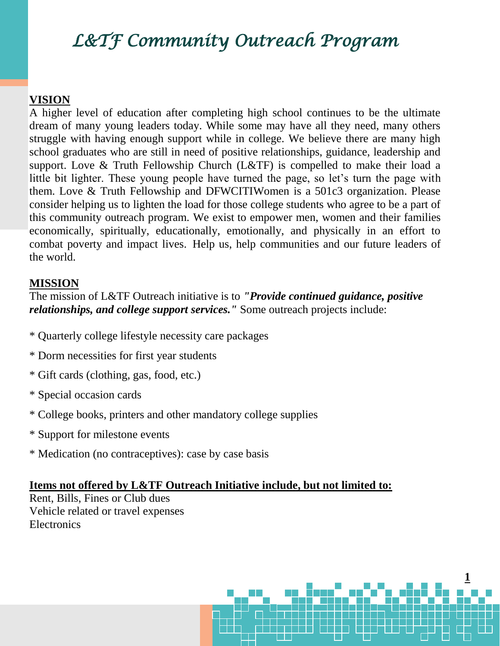# *L&TF Community Outreach Program*

### **VISION**

A higher level of education after completing high school continues to be the ultimate dream of many young leaders today. While some may have all they need, many others struggle with having enough support while in college. We believe there are many high school graduates who are still in need of positive relationships, guidance, leadership and support. Love & Truth Fellowship Church (L&TF) is compelled to make their load a little bit lighter. These young people have turned the page, so let's turn the page with them. Love & Truth Fellowship and DFWCITIWomen is a 501c3 organization. Please consider helping us to lighten the load for those college students who agree to be a part of this community outreach program. We exist to empower men, women and their families economically, spiritually, educationally, emotionally, and physically in an effort to combat poverty and impact lives. Help us, help communities and our future leaders of the world.

#### **MISSION**

The mission of L&TF Outreach initiative is to *"Provide continued guidance, positive relationships, and college support services."* Some outreach projects include:

- \* Quarterly college lifestyle necessity care packages
- \* Dorm necessities for first year students
- \* Gift cards (clothing, gas, food, etc.)
- \* Special occasion cards
- \* College books, printers and other mandatory college supplies
- \* Support for milestone events
- \* Medication (no contraceptives): case by case basis

#### **Items not offered by L&TF Outreach Initiative include, but not limited to:**

Rent, Bills, Fines or Club dues Vehicle related or travel expenses **Electronics**